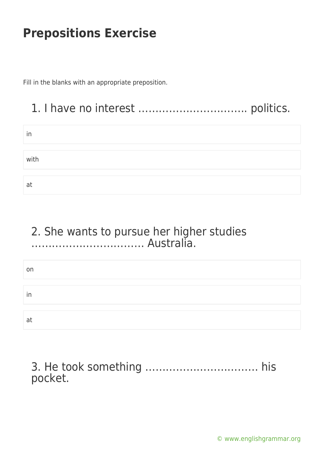Fill in the blanks with an appropriate preposition.

### 1. I have no interest ………………………….. politics.

| in   |  |
|------|--|
|      |  |
| with |  |
|      |  |
| at   |  |

### 2. She wants to pursue her higher studies …………………………… Australia.

| on |  |  |
|----|--|--|
|    |  |  |
|    |  |  |
| in |  |  |
|    |  |  |
|    |  |  |
| at |  |  |
|    |  |  |

3. He took something …………………………… his pocket.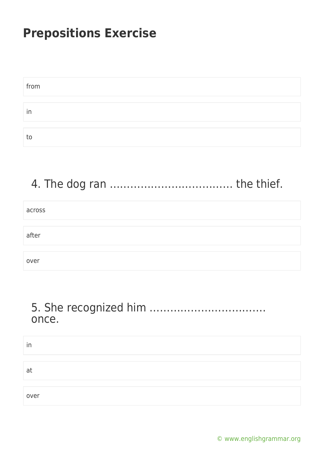| from |  |
|------|--|
|      |  |
| in   |  |
|      |  |
| tc   |  |

## 4. The dog ran ……………………………… the thief.

| across |  |
|--------|--|
|        |  |
| after  |  |
|        |  |
| over   |  |

### 5. She recognized him ……………………………. once.

| in   |  |  |
|------|--|--|
|      |  |  |
| at   |  |  |
|      |  |  |
| over |  |  |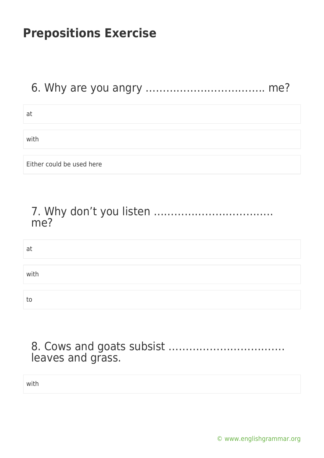### 6. Why are you angry …………………………….. me?

at

with

Either could be used here

### 7. Why don't you listen …………………………….. me?

at with to

### 8. Cows and goats subsist ……………………………. leaves and grass.

with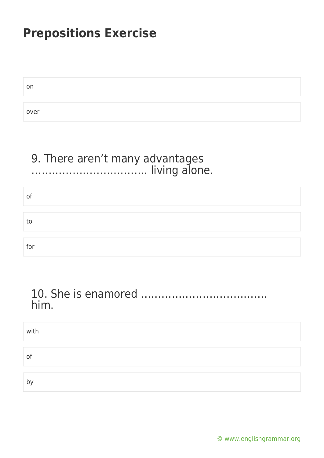| on   |  |  |
|------|--|--|
|      |  |  |
| over |  |  |

#### 9. There aren't many advantages ……………………………. living alone.

| of  |  |  |
|-----|--|--|
|     |  |  |
| to  |  |  |
|     |  |  |
| for |  |  |

### 10. She is enamored ………………………………. him.

| with |  |
|------|--|
|      |  |
| of   |  |
|      |  |
| b'   |  |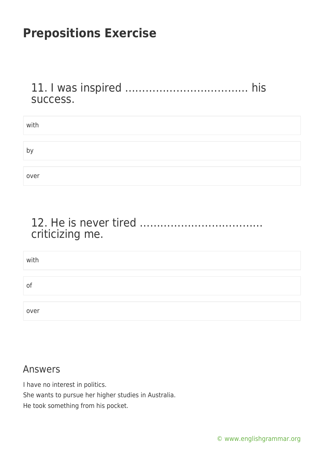11. I was inspired ……………………………… his success.

| with |  |
|------|--|
|      |  |
| þ,   |  |
|      |  |
| over |  |

### 12. He is never tired ……………………………… criticizing me.

| with |  |
|------|--|
|      |  |
| of   |  |
|      |  |
| over |  |

#### Answers

I have no interest in politics.

She wants to pursue her higher studies in Australia.

He took something from his pocket.